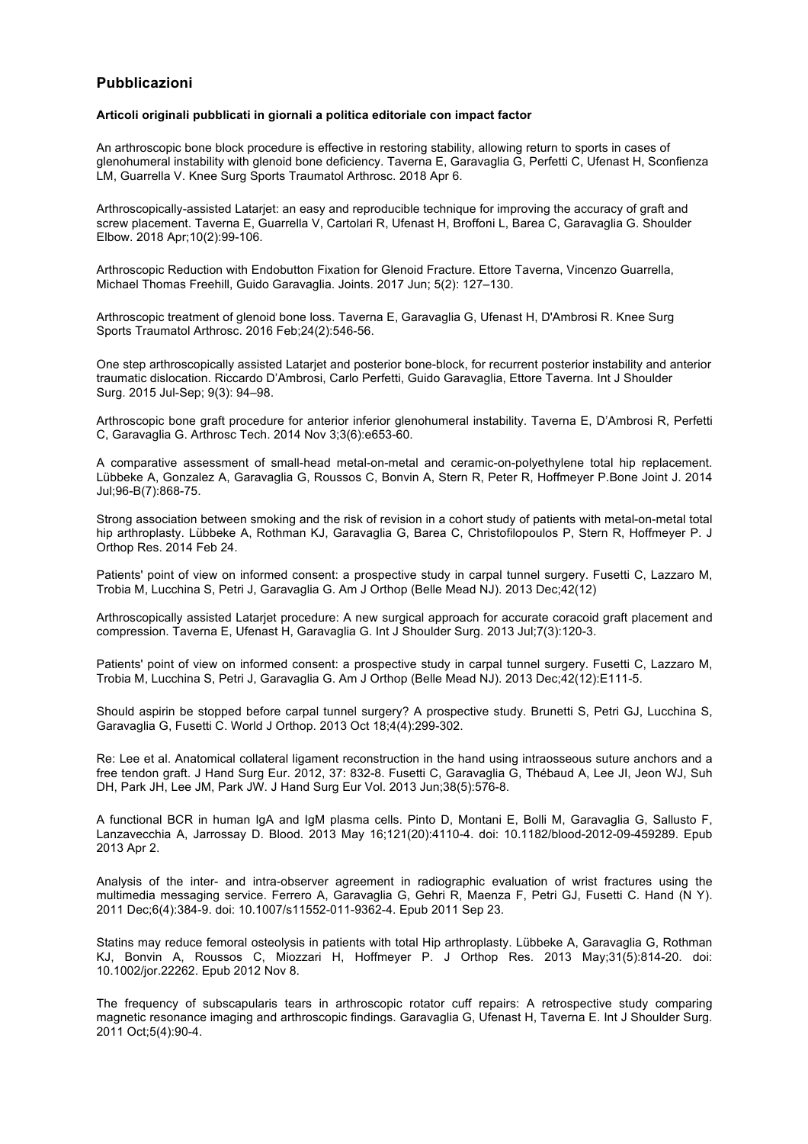# **Pubblicazioni**

#### **Articoli originali pubblicati in giornali a politica editoriale con impact factor**

An arthroscopic bone block procedure is effective in restoring stability, allowing return to sports in cases of glenohumeral instability with glenoid bone deficiency. Taverna E, Garavaglia G, Perfetti C, Ufenast H, Sconfienza LM, Guarrella V. Knee Surg Sports Traumatol Arthrosc. 2018 Apr 6.

Arthroscopically-assisted Latarjet: an easy and reproducible technique for improving the accuracy of graft and screw placement. Taverna E, Guarrella V, Cartolari R, Ufenast H, Broffoni L, Barea C, Garavaglia G. Shoulder Elbow. 2018 Apr;10(2):99-106.

Arthroscopic Reduction with Endobutton Fixation for Glenoid Fracture. Ettore Taverna, Vincenzo Guarrella, Michael Thomas Freehill, Guido Garavaglia. Joints. 2017 Jun; 5(2): 127–130.

Arthroscopic treatment of glenoid bone loss. Taverna E, Garavaglia G, Ufenast H, D'Ambrosi R. Knee Surg Sports Traumatol Arthrosc. 2016 Feb;24(2):546-56.

One step arthroscopically assisted Latarjet and posterior bone-block, for recurrent posterior instability and anterior traumatic dislocation. Riccardo D'Ambrosi, Carlo Perfetti, Guido Garavaglia, Ettore Taverna. Int J Shoulder Surg. 2015 Jul-Sep; 9(3): 94–98.

Arthroscopic bone graft procedure for anterior inferior glenohumeral instability. Taverna E, D'Ambrosi R, Perfetti C, Garavaglia G. Arthrosc Tech. 2014 Nov 3;3(6):e653-60.

A comparative assessment of small-head metal-on-metal and ceramic-on-polyethylene total hip replacement. Lübbeke A, Gonzalez A, Garavaglia G, Roussos C, Bonvin A, Stern R, Peter R, Hoffmeyer P.Bone Joint J. 2014 Jul;96-B(7):868-75.

Strong association between smoking and the risk of revision in a cohort study of patients with metal-on-metal total hip arthroplasty. Lübbeke A, Rothman KJ, Garavaglia G, Barea C, Christofilopoulos P, Stern R, Hoffmeyer P. J Orthop Res. 2014 Feb 24.

Patients' point of view on informed consent: a prospective study in carpal tunnel surgery. Fusetti C, Lazzaro M, Trobia M, Lucchina S, Petri J, Garavaglia G. Am J Orthop (Belle Mead NJ). 2013 Dec;42(12)

Arthroscopically assisted Latarjet procedure: A new surgical approach for accurate coracoid graft placement and compression. Taverna E, Ufenast H, Garavaglia G. Int J Shoulder Surg. 2013 Jul;7(3):120-3.

Patients' point of view on informed consent: a prospective study in carpal tunnel surgery. Fusetti C, Lazzaro M, Trobia M, Lucchina S, Petri J, Garavaglia G. Am J Orthop (Belle Mead NJ). 2013 Dec;42(12):E111-5.

Should aspirin be stopped before carpal tunnel surgery? A prospective study. Brunetti S, Petri GJ, Lucchina S, Garavaglia G, Fusetti C. World J Orthop. 2013 Oct 18;4(4):299-302.

Re: Lee et al. Anatomical collateral ligament reconstruction in the hand using intraosseous suture anchors and a free tendon graft. J Hand Surg Eur. 2012, 37: 832-8. Fusetti C, Garavaglia G, Thébaud A, Lee JI, Jeon WJ, Suh DH, Park JH, Lee JM, Park JW. J Hand Surg Eur Vol. 2013 Jun;38(5):576-8.

A functional BCR in human IgA and IgM plasma cells. Pinto D, Montani E, Bolli M, Garavaglia G, Sallusto F, Lanzavecchia A, Jarrossay D. Blood. 2013 May 16;121(20):4110-4. doi: 10.1182/blood-2012-09-459289. Epub 2013 Apr 2.

Analysis of the inter- and intra-observer agreement in radiographic evaluation of wrist fractures using the multimedia messaging service. Ferrero A, Garavaglia G, Gehri R, Maenza F, Petri GJ, Fusetti C. Hand (N Y). 2011 Dec;6(4):384-9. doi: 10.1007/s11552-011-9362-4. Epub 2011 Sep 23.

Statins may reduce femoral osteolysis in patients with total Hip arthroplasty. Lübbeke A, Garavaglia G, Rothman KJ, Bonvin A, Roussos C, Miozzari H, Hoffmeyer P. J Orthop Res. 2013 May;31(5):814-20. doi: 10.1002/jor.22262. Epub 2012 Nov 8.

The frequency of subscapularis tears in arthroscopic rotator cuff repairs: A retrospective study comparing magnetic resonance imaging and arthroscopic findings. Garavaglia G, Ufenast H, Taverna E. Int J Shoulder Surg. 2011 Oct;5(4):90-4.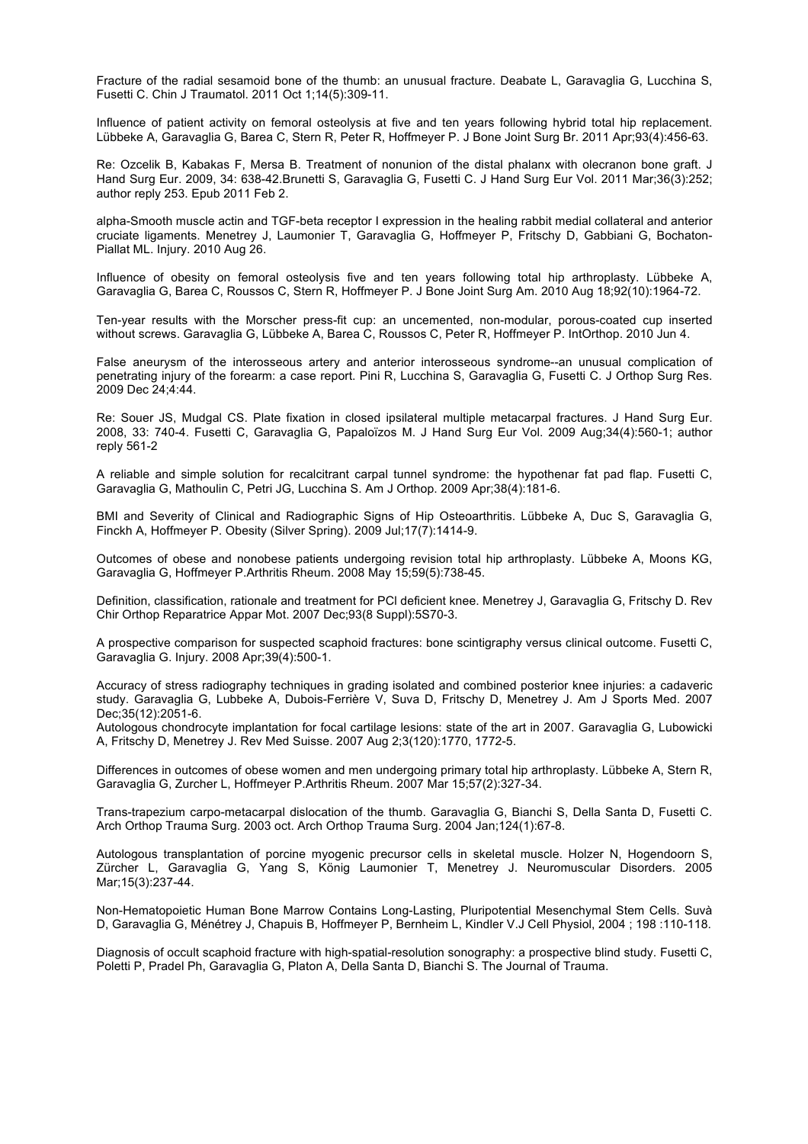Fracture of the radial sesamoid bone of the thumb: an unusual fracture. Deabate L, Garavaglia G, Lucchina S, Fusetti C. Chin J Traumatol. 2011 Oct 1;14(5):309-11.

Influence of patient activity on femoral osteolysis at five and ten years following hybrid total hip replacement. Lübbeke A, Garavaglia G, Barea C, Stern R, Peter R, Hoffmeyer P. J Bone Joint Surg Br. 2011 Apr;93(4):456-63.

Re: Ozcelik B, Kabakas F, Mersa B. Treatment of nonunion of the distal phalanx with olecranon bone graft. J Hand Surg Eur. 2009, 34: 638-42.Brunetti S, Garavaglia G, Fusetti C. J Hand Surg Eur Vol. 2011 Mar;36(3):252; author reply 253. Epub 2011 Feb 2.

alpha-Smooth muscle actin and TGF-beta receptor I expression in the healing rabbit medial collateral and anterior cruciate ligaments. Menetrey J, Laumonier T, Garavaglia G, Hoffmeyer P, Fritschy D, Gabbiani G, Bochaton-Piallat ML. Injury. 2010 Aug 26.

Influence of obesity on femoral osteolysis five and ten years following total hip arthroplasty. Lübbeke A, Garavaglia G, Barea C, Roussos C, Stern R, Hoffmeyer P. J Bone Joint Surg Am. 2010 Aug 18;92(10):1964-72.

Ten-year results with the Morscher press-fit cup: an uncemented, non-modular, porous-coated cup inserted without screws. Garavaglia G, Lübbeke A, Barea C, Roussos C, Peter R, Hoffmeyer P. IntOrthop. 2010 Jun 4.

False aneurysm of the interosseous artery and anterior interosseous syndrome--an unusual complication of penetrating injury of the forearm: a case report. Pini R, Lucchina S, Garavaglia G, Fusetti C. J Orthop Surg Res. 2009 Dec 24;4:44.

Re: Souer JS, Mudgal CS. Plate fixation in closed ipsilateral multiple metacarpal fractures. J Hand Surg Eur. 2008, 33: 740-4. Fusetti C, Garavaglia G, Papaloïzos M. J Hand Surg Eur Vol. 2009 Aug;34(4):560-1; author reply 561-2

A reliable and simple solution for recalcitrant carpal tunnel syndrome: the hypothenar fat pad flap. Fusetti C, Garavaglia G, Mathoulin C, Petri JG, Lucchina S. Am J Orthop. 2009 Apr;38(4):181-6.

BMI and Severity of Clinical and Radiographic Signs of Hip Osteoarthritis. Lübbeke A, Duc S, Garavaglia G, Finckh A, Hoffmeyer P. Obesity (Silver Spring). 2009 Jul;17(7):1414-9.

Outcomes of obese and nonobese patients undergoing revision total hip arthroplasty. Lübbeke A, Moons KG, Garavaglia G, Hoffmeyer P.Arthritis Rheum. 2008 May 15;59(5):738-45.

Definition, classification, rationale and treatment for PCl deficient knee. Menetrey J, Garavaglia G, Fritschy D. Rev Chir Orthop Reparatrice Appar Mot. 2007 Dec;93(8 Suppl):5S70-3.

A prospective comparison for suspected scaphoid fractures: bone scintigraphy versus clinical outcome. Fusetti C, Garavaglia G. Injury. 2008 Apr;39(4):500-1.

Accuracy of stress radiography techniques in grading isolated and combined posterior knee injuries: a cadaveric study. Garavaglia G, Lubbeke A, Dubois-Ferrière V, Suva D, Fritschy D, Menetrey J. Am J Sports Med. 2007 Dec;35(12):2051-6.

Autologous chondrocyte implantation for focal cartilage lesions: state of the art in 2007. Garavaglia G, Lubowicki A, Fritschy D, Menetrey J. Rev Med Suisse. 2007 Aug 2;3(120):1770, 1772-5.

Differences in outcomes of obese women and men undergoing primary total hip arthroplasty. Lübbeke A, Stern R, Garavaglia G, Zurcher L, Hoffmeyer P.Arthritis Rheum. 2007 Mar 15;57(2):327-34.

Trans-trapezium carpo-metacarpal dislocation of the thumb. Garavaglia G, Bianchi S, Della Santa D, Fusetti C. Arch Orthop Trauma Surg. 2003 oct. Arch Orthop Trauma Surg. 2004 Jan;124(1):67-8.

Autologous transplantation of porcine myogenic precursor cells in skeletal muscle. Holzer N, Hogendoorn S, Zürcher L, Garavaglia G, Yang S, König Laumonier T, Menetrey J. Neuromuscular Disorders. 2005 Mar;15(3):237-44.

Non-Hematopoietic Human Bone Marrow Contains Long-Lasting, Pluripotential Mesenchymal Stem Cells. Suvà D, Garavaglia G, Ménétrey J, Chapuis B, Hoffmeyer P, Bernheim L, Kindler V.J Cell Physiol, 2004 ; 198 :110-118.

Diagnosis of occult scaphoid fracture with high-spatial-resolution sonography: a prospective blind study. Fusetti C, Poletti P, Pradel Ph, Garavaglia G, Platon A, Della Santa D, Bianchi S. The Journal of Trauma.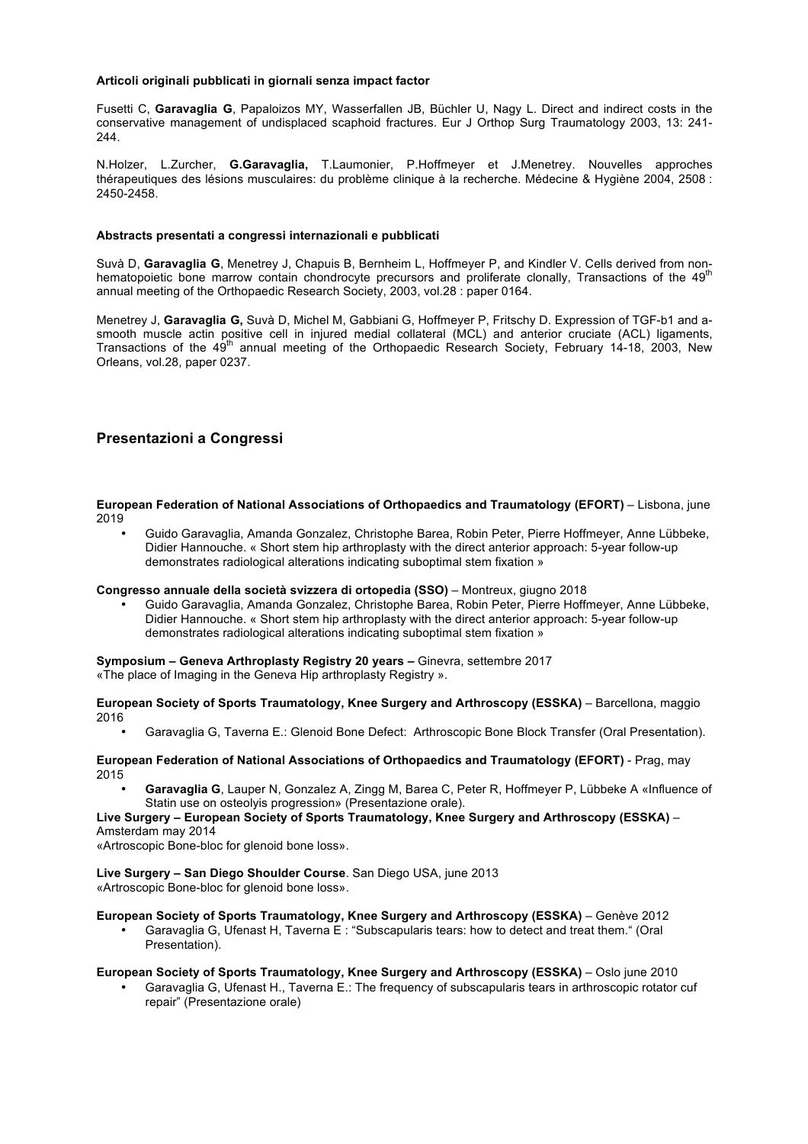## **Articoli originali pubblicati in giornali senza impact factor**

Fusetti C, **Garavaglia G**, Papaloizos MY, Wasserfallen JB, Büchler U, Nagy L. Direct and indirect costs in the conservative management of undisplaced scaphoid fractures. Eur J Orthop Surg Traumatology 2003, 13: 241- 244.

N.Holzer, L.Zurcher, **G.Garavaglia,** T.Laumonier, P.Hoffmeyer et J.Menetrey. Nouvelles approches thérapeutiques des lésions musculaires: du problème clinique à la recherche. Médecine & Hygiène 2004, 2508 : 2450-2458.

### **Abstracts presentati a congressi internazionali e pubblicati**

Suvà D, **Garavaglia G**, Menetrey J, Chapuis B, Bernheim L, Hoffmeyer P, and Kindler V. Cells derived from nonhematopoietic bone marrow contain chondrocyte precursors and proliferate clonally, Transactions of the  $49<sup>π</sup>$ annual meeting of the Orthopaedic Research Society, 2003, vol.28 : paper 0164.

Menetrey J, **Garavaglia G,** Suvà D, Michel M, Gabbiani G, Hoffmeyer P, Fritschy D. Expression of TGF-b1 and asmooth muscle actin positive cell in injured medial collateral (MCL) and anterior cruciate (ACL) ligaments, Transactions of the 49<sup>th</sup> annual meeting of the Orthopaedic Research Society, February 14-18, 2003, New Orleans, vol.28, paper 0237.

# **Presentazioni a Congressi**

**European Federation of National Associations of Orthopaedics and Traumatology (EFORT) – Lisbona, june** 2019

• Guido Garavaglia, Amanda Gonzalez, Christophe Barea, Robin Peter, Pierre Hoffmeyer, Anne Lübbeke, Didier Hannouche. « Short stem hip arthroplasty with the direct anterior approach: 5-year follow-up demonstrates radiological alterations indicating suboptimal stem fixation »

#### **Congresso annuale della società svizzera di ortopedia (SSO)** – Montreux, giugno 2018

• Guido Garavaglia, Amanda Gonzalez, Christophe Barea, Robin Peter, Pierre Hoffmeyer, Anne Lübbeke, Didier Hannouche. « Short stem hip arthroplasty with the direct anterior approach: 5-year follow-up demonstrates radiological alterations indicating suboptimal stem fixation »

# **Symposium – Geneva Arthroplasty Registry 20 years –** Ginevra, settembre 2017

«The place of Imaging in the Geneva Hip arthroplasty Registry ».

**European Society of Sports Traumatology, Knee Surgery and Arthroscopy (ESSKA)** – Barcellona, maggio 2016

• Garavaglia G, Taverna E.: Glenoid Bone Defect: Arthroscopic Bone Block Transfer (Oral Presentation).

#### **European Federation of National Associations of Orthopaedics and Traumatology (EFORT)** - Prag, may 2015

• **Garavaglia G**, Lauper N, Gonzalez A, Zingg M, Barea C, Peter R, Hoffmeyer P, Lübbeke A «Influence of Statin use on osteolyis progression» (Presentazione orale).

## **Live Surgery – European Society of Sports Traumatology, Knee Surgery and Arthroscopy (ESSKA)** – Amsterdam may 2014

«Artroscopic Bone-bloc for glenoid bone loss».

**Live Surgery – San Diego Shoulder Course**. San Diego USA, june 2013 «Artroscopic Bone-bloc for glenoid bone loss».

# **European Society of Sports Traumatology, Knee Surgery and Arthroscopy (ESSKA)** – Genève 2012

• Garavaglia G, Ufenast H, Taverna E : "Subscapularis tears: how to detect and treat them." (Oral Presentation).

# **European Society of Sports Traumatology, Knee Surgery and Arthroscopy (ESSKA)** – Oslo june 2010

• Garavaglia G, Ufenast H., Taverna E.: The frequency of subscapularis tears in arthroscopic rotator cuf repair" (Presentazione orale)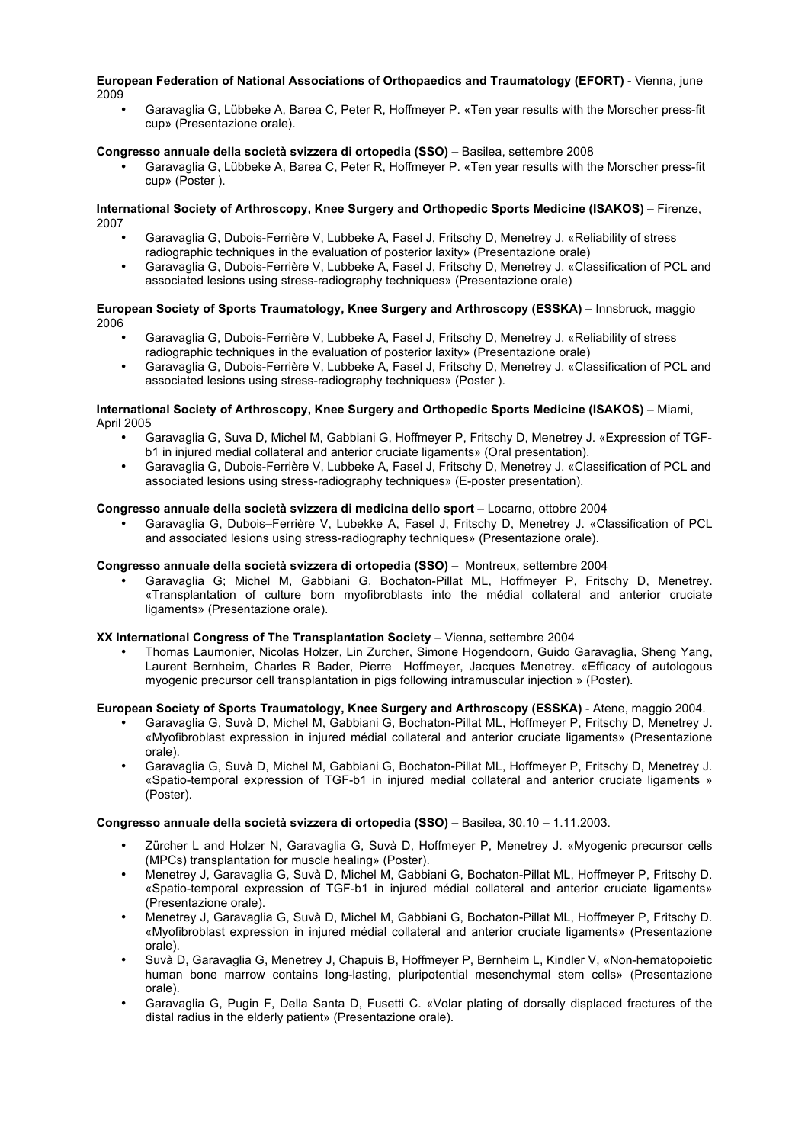#### **European Federation of National Associations of Orthopaedics and Traumatology (EFORT)** - Vienna, june 2009

• Garavaglia G, Lübbeke A, Barea C, Peter R, Hoffmeyer P. «Ten year results with the Morscher press-fit cup» (Presentazione orale).

## **Congresso annuale della società svizzera di ortopedia (SSO)** – Basilea, settembre 2008

• Garavaglia G, Lübbeke A, Barea C, Peter R, Hoffmeyer P. «Ten year results with the Morscher press-fit cup» (Poster ).

## **International Society of Arthroscopy, Knee Surgery and Orthopedic Sports Medicine (ISAKOS)** – Firenze, 2007

- Garavaglia G, Dubois-Ferrière V, Lubbeke A, Fasel J, Fritschy D, Menetrey J. «Reliability of stress radiographic techniques in the evaluation of posterior laxity» (Presentazione orale)
- Garavaglia G, Dubois-Ferrière V, Lubbeke A, Fasel J, Fritschy D, Menetrey J. «Classification of PCL and associated lesions using stress-radiography techniques» (Presentazione orale)

#### **European Society of Sports Traumatology, Knee Surgery and Arthroscopy (ESSKA) – Innsbruck, maggio** 2006

- Garavaglia G, Dubois-Ferrière V, Lubbeke A, Fasel J, Fritschy D, Menetrey J. «Reliability of stress radiographic techniques in the evaluation of posterior laxity» (Presentazione orale)
- Garavaglia G, Dubois-Ferrière V, Lubbeke A, Fasel J, Fritschy D, Menetrey J. «Classification of PCL and associated lesions using stress-radiography techniques» (Poster ).

#### **International Society of Arthroscopy, Knee Surgery and Orthopedic Sports Medicine (ISAKOS)** – Miami, April 2005

- Garavaglia G, Suva D, Michel M, Gabbiani G, Hoffmeyer P, Fritschy D, Menetrey J. «Expression of TGFb1 in injured medial collateral and anterior cruciate ligaments» (Oral presentation).
- Garavaglia G, Dubois-Ferrière V, Lubbeke A, Fasel J, Fritschy D, Menetrey J. «Classification of PCL and associated lesions using stress-radiography techniques» (E-poster presentation).

# **Congresso annuale della società svizzera di medicina dello sport** – Locarno, ottobre 2004

• Garavaglia G, Dubois–Ferrière V, Lubekke A, Fasel J, Fritschy D, Menetrey J. «Classification of PCL and associated lesions using stress-radiography techniques» (Presentazione orale).

# **Congresso annuale della società svizzera di ortopedia (SSO)** – Montreux, settembre 2004

• Garavaglia G; Michel M, Gabbiani G, Bochaton-Pillat ML, Hoffmeyer P, Fritschy D, Menetrey. «Transplantation of culture born myofibroblasts into the médial collateral and anterior cruciate ligaments» (Presentazione orale).

## **XX International Congress of The Transplantation Society** – Vienna, settembre 2004

• Thomas Laumonier, Nicolas Holzer, Lin Zurcher, Simone Hogendoorn, Guido Garavaglia, Sheng Yang, Laurent Bernheim, Charles R Bader, Pierre Hoffmeyer, Jacques Menetrey. «Efficacy of autologous myogenic precursor cell transplantation in pigs following intramuscular injection » (Poster).

#### **European Society of Sports Traumatology, Knee Surgery and Arthroscopy (ESSKA)** - Atene, maggio 2004.

- Garavaglia G, Suvà D, Michel M, Gabbiani G, Bochaton-Pillat ML, Hoffmeyer P, Fritschy D, Menetrey J. «Myofibroblast expression in injured médial collateral and anterior cruciate ligaments» (Presentazione orale).
- Garavaglia G, Suvà D, Michel M, Gabbiani G, Bochaton-Pillat ML, Hoffmeyer P, Fritschy D, Menetrey J. «Spatio-temporal expression of TGF-b1 in injured medial collateral and anterior cruciate ligaments » (Poster).

#### **Congresso annuale della società svizzera di ortopedia (SSO)** – Basilea, 30.10 – 1.11.2003.

- Zürcher L and Holzer N, Garavaglia G, Suvà D, Hoffmeyer P, Menetrey J. «Myogenic precursor cells (MPCs) transplantation for muscle healing» (Poster).
- Menetrey J, Garavaglia G, Suvà D, Michel M, Gabbiani G, Bochaton-Pillat ML, Hoffmeyer P, Fritschy D. «Spatio-temporal expression of TGF-b1 in injured médial collateral and anterior cruciate ligaments» (Presentazione orale).
- Menetrey J, Garavaglia G, Suvà D, Michel M, Gabbiani G, Bochaton-Pillat ML, Hoffmeyer P, Fritschy D. «Myofibroblast expression in injured médial collateral and anterior cruciate ligaments» (Presentazione orale).
- Suvà D, Garavaglia G, Menetrey J, Chapuis B, Hoffmeyer P, Bernheim L, Kindler V, «Non-hematopoietic human bone marrow contains long-lasting, pluripotential mesenchymal stem cells» (Presentazione orale).
- Garavaglia G, Pugin F, Della Santa D, Fusetti C. «Volar plating of dorsally displaced fractures of the distal radius in the elderly patient» (Presentazione orale).